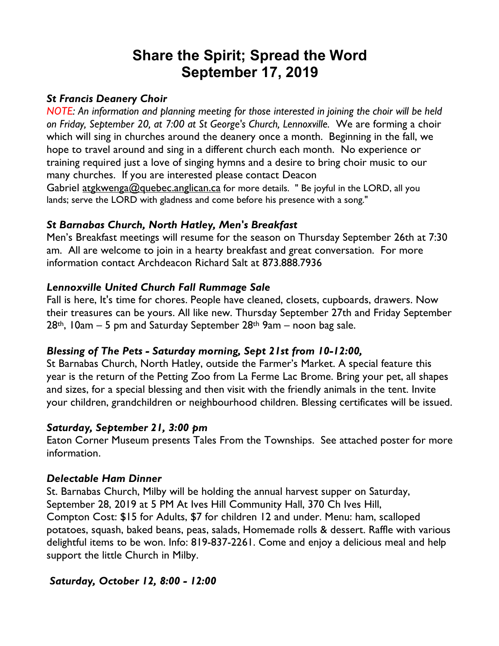# **Share the Spirit; Spread the Word September 17, 2019**

#### *St Francis Deanery Choir*

*NOTE: An information and planning meeting for those interested in joining the choir will be held on Friday, September 20, at 7:00 at St George's Church, Lennoxville.* We are forming a choir which will sing in churches around the deanery once a month. Beginning in the fall, we hope to travel around and sing in a different church each month. No experience or training required just a love of singing hymns and a desire to bring choir music to our many churches. If you are interested please contact Deacon

Gabriel atgkwenga@quebec.anglican.ca for more details. " Be joyful in the LORD, all you lands; serve the LORD with gladness and come before his presence with a song."

### *St Barnabas Church, North Hatley, Men's Breakfast*

Men's Breakfast meetings will resume for the season on Thursday September 26th at 7:30 am. All are welcome to join in a hearty breakfast and great conversation. For more information contact Archdeacon Richard Salt at 873.888.7936

### *Lennoxville United Church Fall Rummage Sale*

Fall is here, It's time for chores. People have cleaned, closets, cupboards, drawers. Now their treasures can be yours. All like new. Thursday September 27th and Friday September  $28$ <sup>th</sup>, 10am – 5 pm and Saturday September  $28$ <sup>th</sup> 9am – noon bag sale.

### *Blessing of The Pets - Saturday morning, Sept 21st from 10-12:00,*

St Barnabas Church, North Hatley, outside the Farmer's Market. A special feature this year is the return of the Petting Zoo from La Ferme Lac Brome. Bring your pet, all shapes and sizes, for a special blessing and then visit with the friendly animals in the tent. Invite your children, grandchildren or neighbourhood children. Blessing certificates will be issued.

### *Saturday, September 21, 3:00 pm*

Eaton Corner Museum presents Tales From the Townships. See attached poster for more information.

### *Delectable Ham Dinner*

St. Barnabas Church, Milby will be holding the annual harvest supper on Saturday, September 28, 2019 at 5 PM At Ives Hill Community Hall, 370 Ch Ives Hill, Compton Cost: \$15 for Adults, \$7 for children 12 and under. Menu: ham, scalloped potatoes, squash, baked beans, peas, salads, Homemade rolls & dessert. Raffle with various delightful items to be won. Info: 819-837-2261. Come and enjoy a delicious meal and help support the little Church in Milby.

### *Saturday, October 12, 8:00 - 12:00*